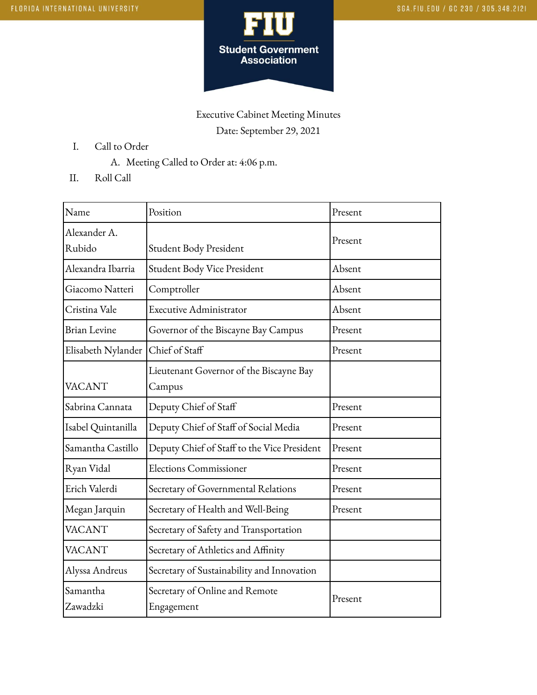

## Executive Cabinet Meeting Minutes Date: September 29, 2021

- I. Call to Order
	- A. Meeting Called to Order at: 4:06 p.m.
- II. Roll Call

| Name                   | Position                                          | Present |
|------------------------|---------------------------------------------------|---------|
| Alexander A.<br>Rubido | Student Body President                            | Present |
| Alexandra Ibarria      | Student Body Vice President                       | Absent  |
| Giacomo Natteri        | Comptroller                                       | Absent  |
| Cristina Vale          | <b>Executive Administrator</b>                    | Absent  |
| <b>Brian Levine</b>    | Governor of the Biscayne Bay Campus               | Present |
| Elisabeth Nylander     | Chief of Staff                                    | Present |
| <b>VACANT</b>          | Lieutenant Governor of the Biscayne Bay<br>Campus |         |
| Sabrina Cannata        | Deputy Chief of Staff                             | Present |
| Isabel Quintanilla     | Deputy Chief of Staff of Social Media             | Present |
| Samantha Castillo      | Deputy Chief of Staff to the Vice President       | Present |
| Ryan Vidal             | <b>Elections Commissioner</b>                     | Present |
| Erich Valerdi          | Secretary of Governmental Relations               | Present |
| Megan Jarquin          | Secretary of Health and Well-Being                | Present |
| <b>VACANT</b>          | Secretary of Safety and Transportation            |         |
| <b>VACANT</b>          | Secretary of Athletics and Affinity               |         |
| Alyssa Andreus         | Secretary of Sustainability and Innovation        |         |
| Samantha<br>Zawadzki   | Secretary of Online and Remote<br>Engagement      | Present |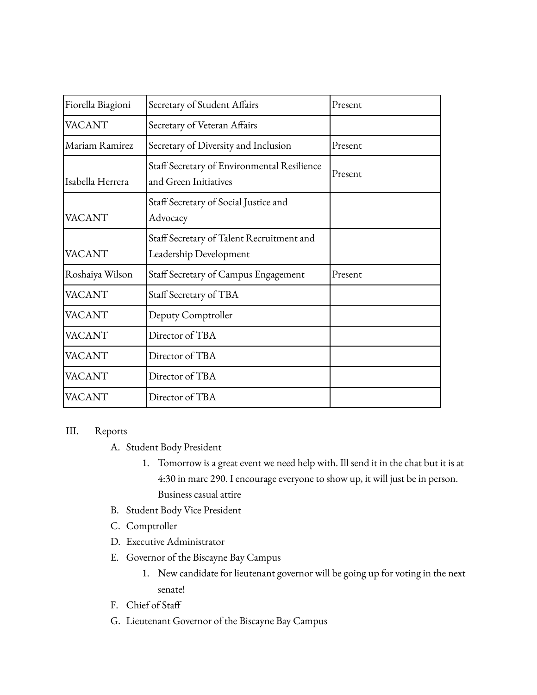| Fiorella Biagioni | Secretary of Student Affairs                                         | Present |
|-------------------|----------------------------------------------------------------------|---------|
| <b>VACANT</b>     | Secretary of Veteran Affairs                                         |         |
| lMariam Ramirez   | Secretary of Diversity and Inclusion                                 | Present |
| Isabella Herrera  | Staff Secretary of Environmental Resilience<br>and Green Initiatives | Present |
| <b>VACANT</b>     | Staff Secretary of Social Justice and<br>Advocacy                    |         |
| <b>VACANT</b>     | Staff Secretary of Talent Recruitment and<br>Leadership Development  |         |
| Roshaiya Wilson   | Staff Secretary of Campus Engagement                                 | Present |
| <b>VACANT</b>     | Staff Secretary of TBA                                               |         |
| <b>VACANT</b>     | Deputy Comptroller                                                   |         |
| <b>VACANT</b>     | Director of TBA                                                      |         |
| <b>VACANT</b>     | Director of TBA                                                      |         |
| <b>VACANT</b>     | Director of TBA                                                      |         |
| <b>VACANT</b>     | Director of TBA                                                      |         |

## III. Reports

- A. Student Body President
	- 1. Tomorrow is a great event we need help with. Ill send it in the chat but it is at 4:30 in marc 290. I encourage everyone to show up, it will just be in person. Business casual attire
- B. Student Body Vice President
- C. Comptroller
- D. Executive Administrator
- E. Governor of the Biscayne Bay Campus
	- 1. New candidate for lieutenant governor will be going up for voting in the next senate!
- F. Chief of Staff
- G. Lieutenant Governor of the Biscayne Bay Campus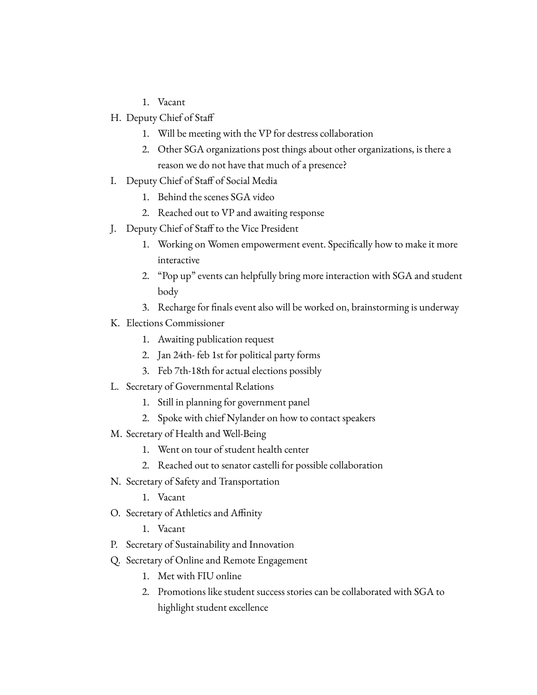- 1. Vacant
- H. Deputy Chief of Staff
	- 1. Will be meeting with the VP for destress collaboration
	- 2. Other SGA organizations post things about other organizations, is there a reason we do not have that much of a presence?
- I. Deputy Chief of Staff of Social Media
	- 1. Behind the scenes SGA video
	- 2. Reached out to VP and awaiting response
- J. Deputy Chief of Staff to the Vice President
	- 1. Working on Women empowerment event. Specifically how to make it more interactive
	- 2. "Pop up" events can helpfully bring more interaction with SGA and student body
	- 3. Recharge for finals event also will be worked on, brainstorming is underway
- K. Elections Commissioner
	- 1. Awaiting publication request
	- 2. Jan 24th- feb 1st for political party forms
	- 3. Feb 7th-18th for actual elections possibly
- L. Secretary of Governmental Relations
	- 1. Still in planning for government panel
	- 2. Spoke with chief Nylander on how to contact speakers
- M. Secretary of Health and Well-Being
	- 1. Went on tour of student health center
	- 2. Reached out to senator castelli for possible collaboration
- N. Secretary of Safety and Transportation
	- 1. Vacant
- O. Secretary of Athletics and Affinity
	- 1. Vacant
- P. Secretary of Sustainability and Innovation
- Q. Secretary of Online and Remote Engagement
	- 1. Met with FIU online
	- 2. Promotions like student success stories can be collaborated with SGA to highlight student excellence